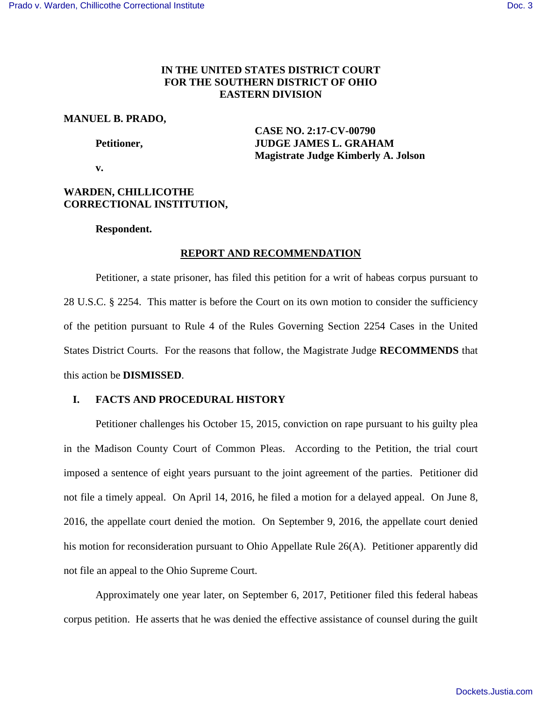## **IN THE UNITED STATES DISTRICT COURT FOR THE SOUTHERN DISTRICT OF OHIO EASTERN DIVISION**

## **MANUEL B. PRADO,**

 **CASE NO. 2:17-CV-00790**  Petitioner, **JUDGE JAMES L. GRAHAM Magistrate Judge Kimberly A. Jolson** 

 **v.** 

# **WARDEN, CHILLICOTHE CORRECTIONAL INSTITUTION,**

## **Respondent.**

# **REPORT AND RECOMMENDATION**

Petitioner, a state prisoner, has filed this petition for a writ of habeas corpus pursuant to 28 U.S.C. § 2254. This matter is before the Court on its own motion to consider the sufficiency of the petition pursuant to Rule 4 of the Rules Governing Section 2254 Cases in the United States District Courts. For the reasons that follow, the Magistrate Judge **RECOMMENDS** that this action be **DISMISSED**.

# **I. FACTS AND PROCEDURAL HISTORY**

Petitioner challenges his October 15, 2015, conviction on rape pursuant to his guilty plea in the Madison County Court of Common Pleas. According to the Petition, the trial court imposed a sentence of eight years pursuant to the joint agreement of the parties. Petitioner did not file a timely appeal. On April 14, 2016, he filed a motion for a delayed appeal. On June 8, 2016, the appellate court denied the motion. On September 9, 2016, the appellate court denied his motion for reconsideration pursuant to Ohio Appellate Rule 26(A). Petitioner apparently did not file an appeal to the Ohio Supreme Court.

Approximately one year later, on September 6, 2017, Petitioner filed this federal habeas corpus petition. He asserts that he was denied the effective assistance of counsel during the guilt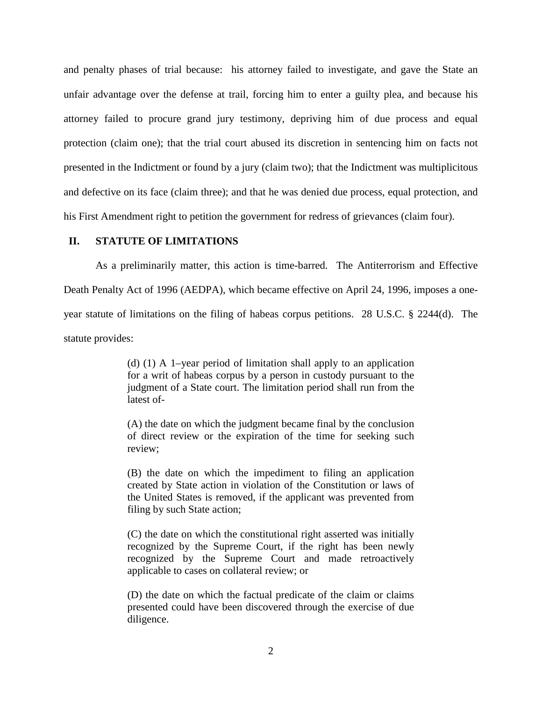and penalty phases of trial because: his attorney failed to investigate, and gave the State an unfair advantage over the defense at trail, forcing him to enter a guilty plea, and because his attorney failed to procure grand jury testimony, depriving him of due process and equal protection (claim one); that the trial court abused its discretion in sentencing him on facts not presented in the Indictment or found by a jury (claim two); that the Indictment was multiplicitous and defective on its face (claim three); and that he was denied due process, equal protection, and his First Amendment right to petition the government for redress of grievances (claim four).

## **II. STATUTE OF LIMITATIONS**

As a preliminarily matter, this action is time-barred. The Antiterrorism and Effective Death Penalty Act of 1996 (AEDPA), which became effective on April 24, 1996, imposes a oneyear statute of limitations on the filing of habeas corpus petitions. 28 U.S.C. § 2244(d). The statute provides:

> (d) (1) A 1–year period of limitation shall apply to an application for a writ of habeas corpus by a person in custody pursuant to the judgment of a State court. The limitation period shall run from the latest of-

> (A) the date on which the judgment became final by the conclusion of direct review or the expiration of the time for seeking such review;

> (B) the date on which the impediment to filing an application created by State action in violation of the Constitution or laws of the United States is removed, if the applicant was prevented from filing by such State action;

> (C) the date on which the constitutional right asserted was initially recognized by the Supreme Court, if the right has been newly recognized by the Supreme Court and made retroactively applicable to cases on collateral review; or

> (D) the date on which the factual predicate of the claim or claims presented could have been discovered through the exercise of due diligence.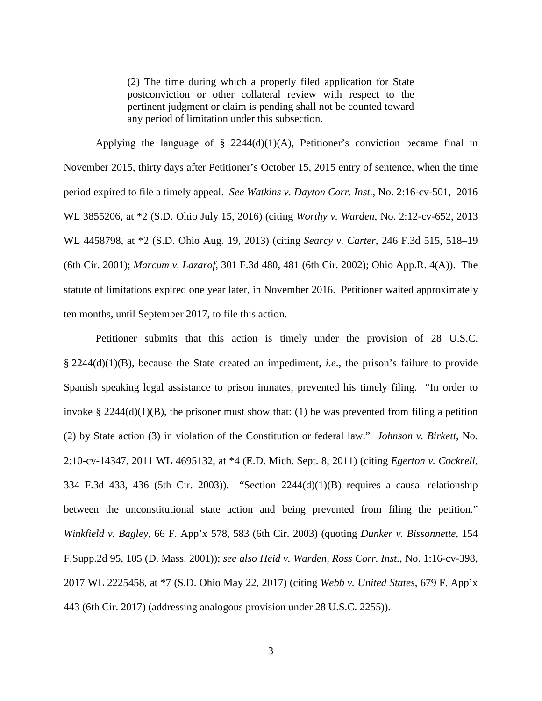(2) The time during which a properly filed application for State postconviction or other collateral review with respect to the pertinent judgment or claim is pending shall not be counted toward any period of limitation under this subsection.

Applying the language of  $\S$  2244(d)(1)(A), Petitioner's conviction became final in November 2015, thirty days after Petitioner's October 15, 2015 entry of sentence, when the time period expired to file a timely appeal. *See Watkins v. Dayton Corr. Inst.*, No. 2:16-cv-501, 2016 WL 3855206, at \*2 (S.D. Ohio July 15, 2016) (citing *Worthy v. Warden*, No. 2:12-cv-652, 2013 WL 4458798, at \*2 (S.D. Ohio Aug. 19, 2013) (citing *Searcy v. Carter*, 246 F.3d 515, 518–19 (6th Cir. 2001); *Marcum v. Lazarof*, 301 F.3d 480, 481 (6th Cir. 2002); Ohio App.R. 4(A)). The statute of limitations expired one year later, in November 2016. Petitioner waited approximately ten months, until September 2017, to file this action.

Petitioner submits that this action is timely under the provision of 28 U.S.C. § 2244(d)(1)(B), because the State created an impediment, *i.e*., the prison's failure to provide Spanish speaking legal assistance to prison inmates, prevented his timely filing. "In order to invoke  $\S 2244(d)(1)(B)$ , the prisoner must show that: (1) he was prevented from filing a petition (2) by State action (3) in violation of the Constitution or federal law." *Johnson v. Birkett*, No. 2:10-cv-14347, 2011 WL 4695132, at \*4 (E.D. Mich. Sept. 8, 2011) (citing *Egerton v. Cockrell*, 334 F.3d 433, 436 (5th Cir. 2003)). "Section 2244(d)(1)(B) requires a causal relationship between the unconstitutional state action and being prevented from filing the petition." *Winkfield v. Bagley*, 66 F. App'x 578, 583 (6th Cir. 2003) (quoting *Dunker v. Bissonnette*, 154 F.Supp.2d 95, 105 (D. Mass. 2001)); *see also Heid v. Warden, Ross Corr. Inst.*, No. 1:16-cv-398, 2017 WL 2225458, at \*7 (S.D. Ohio May 22, 2017) (citing *Webb v. United States*, 679 F. App'x 443 (6th Cir. 2017) (addressing analogous provision under 28 U.S.C. 2255)).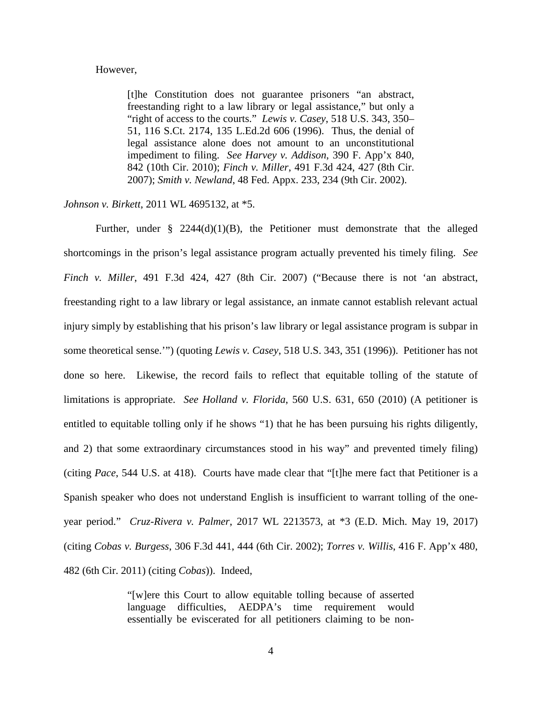#### However,

[t]he Constitution does not guarantee prisoners "an abstract, freestanding right to a law library or legal assistance," but only a "right of access to the courts." *Lewis v. Casey*, 518 U.S. 343, 350– 51, 116 S.Ct. 2174, 135 L.Ed.2d 606 (1996). Thus, the denial of legal assistance alone does not amount to an unconstitutional impediment to filing. *See Harvey v. Addison*, 390 F. App'x 840, 842 (10th Cir. 2010); *Finch v. Miller*, 491 F.3d 424, 427 (8th Cir. 2007); *Smith v. Newland*, 48 Fed. Appx. 233, 234 (9th Cir. 2002).

*Johnson v. Birkett*, 2011 WL 4695132, at \*5.

Further, under  $\S$  2244(d)(1)(B), the Petitioner must demonstrate that the alleged shortcomings in the prison's legal assistance program actually prevented his timely filing. *See Finch v. Miller*, 491 F.3d 424, 427 (8th Cir. 2007) ("Because there is not 'an abstract, freestanding right to a law library or legal assistance, an inmate cannot establish relevant actual injury simply by establishing that his prison's law library or legal assistance program is subpar in some theoretical sense.'") (quoting *Lewis v. Casey*, 518 U.S. 343, 351 (1996)). Petitioner has not done so here. Likewise, the record fails to reflect that equitable tolling of the statute of limitations is appropriate. *See Holland v. Florida*, 560 U.S. 631, 650 (2010) (A petitioner is entitled to equitable tolling only if he shows "1) that he has been pursuing his rights diligently, and 2) that some extraordinary circumstances stood in his way" and prevented timely filing) (citing *Pace*, 544 U.S. at 418). Courts have made clear that "[t]he mere fact that Petitioner is a Spanish speaker who does not understand English is insufficient to warrant tolling of the oneyear period." *Cruz-Rivera v. Palmer*, 2017 WL 2213573, at \*3 (E.D. Mich. May 19, 2017) (citing *Cobas v. Burgess*, 306 F.3d 441, 444 (6th Cir. 2002); *Torres v. Willis*, 416 F. App'x 480, 482 (6th Cir. 2011) (citing *Cobas*)). Indeed,

> "[w]ere this Court to allow equitable tolling because of asserted language difficulties, AEDPA's time requirement would essentially be eviscerated for all petitioners claiming to be non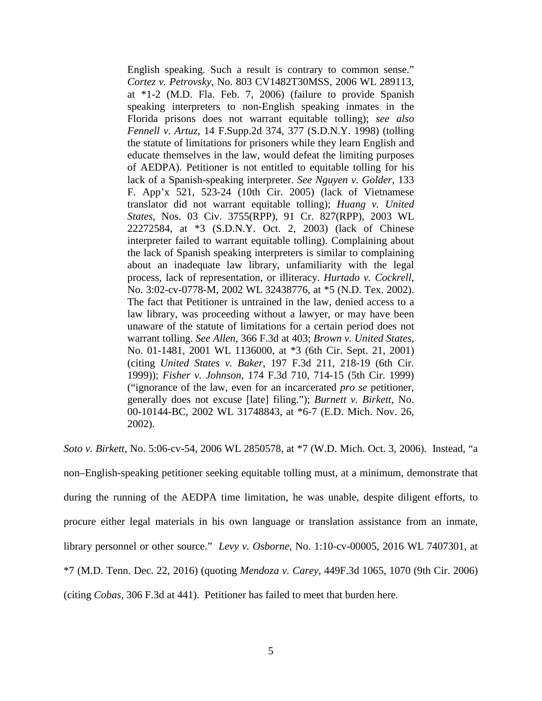English speaking. Such a result is contrary to common sense." *Cortez v. Petrovsky*, No. 803 CV1482T30MSS, 2006 WL 289113, at \*1-2 (M.D. Fla. Feb. 7, 2006) (failure to provide Spanish speaking interpreters to non-English speaking inmates in the Florida prisons does not warrant equitable tolling); *see also Fennell v. Artuz*, 14 F.Supp.2d 374, 377 (S.D.N.Y. 1998) (tolling the statute of limitations for prisoners while they learn English and educate themselves in the law, would defeat the limiting purposes of AEDPA). Petitioner is not entitled to equitable tolling for his lack of a Spanish-speaking interpreter. *See Nguyen v. Golder*, 133 F. App'x 521, 523-24 (10th Cir. 2005) (lack of Vietnamese translator did not warrant equitable tolling); *Huang v. United States*, Nos. 03 Civ. 3755(RPP), 91 Cr. 827(RPP), 2003 WL 22272584, at \*3 (S.D.N.Y. Oct. 2, 2003) (lack of Chinese interpreter failed to warrant equitable tolling). Complaining about the lack of Spanish speaking interpreters is similar to complaining about an inadequate law library, unfamiliarity with the legal process, lack of representation, or illiteracy. *Hurtado v. Cockrell*, No. 3:02-cv-0778-M, 2002 WL 32438776, at \*5 (N.D. Tex. 2002). The fact that Petitioner is untrained in the law, denied access to a law library, was proceeding without a lawyer, or may have been unaware of the statute of limitations for a certain period does not warrant tolling. *See Allen*, 366 F.3d at 403; *Brown v. United States*, No. 01-1481, 2001 WL 1136000, at \*3 (6th Cir. Sept. 21, 2001) (citing *United States v. Baker*, 197 F.3d 211, 218-19 (6th Cir. 1999)); *Fisher v. Johnson*, 174 F.3d 710, 714-15 (5th Cir. 1999) ("ignorance of the law, even for an incarcerated *pro se* petitioner, generally does not excuse [late] filing."); *Burnett v. Birkett*, No. 00-10144-BC, 2002 WL 31748843, at \*6-7 (E.D. Mich. Nov. 26, 2002).

*Soto v. Birkett*, No. 5:06-cv-54, 2006 WL 2850578, at \*7 (W.D. Mich. Oct. 3, 2006). Instead, "a non–English-speaking petitioner seeking equitable tolling must, at a minimum, demonstrate that during the running of the AEDPA time limitation, he was unable, despite diligent efforts, to procure either legal materials in his own language or translation assistance from an inmate, library personnel or other source." *Levy v. Osborne*, No. 1:10-cv-00005, 2016 WL 7407301, at \*7 (M.D. Tenn. Dec. 22, 2016) (quoting *Mendoza v. Carey*, 449F.3d 1065, 1070 (9th Cir. 2006) (citing *Cobas*, 306 F.3d at 441). Petitioner has failed to meet that burden here.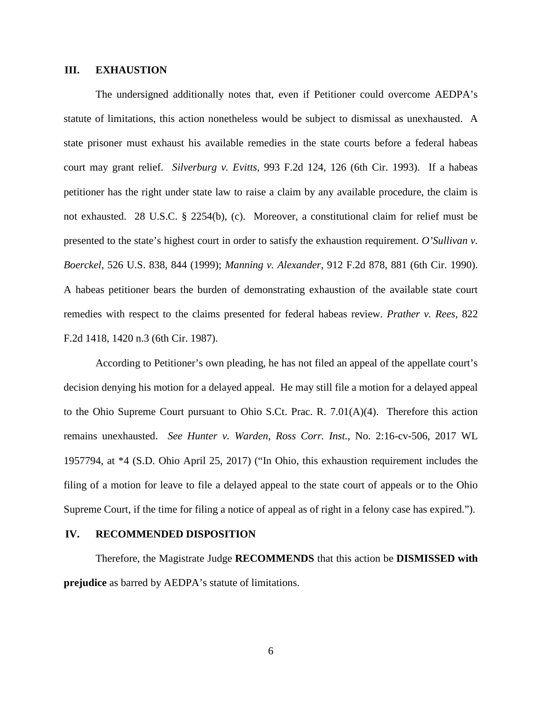## **III. EXHAUSTION**

The undersigned additionally notes that, even if Petitioner could overcome AEDPA's statute of limitations, this action nonetheless would be subject to dismissal as unexhausted. A state prisoner must exhaust his available remedies in the state courts before a federal habeas court may grant relief. *Silverburg v. Evitts*, 993 F.2d 124, 126 (6th Cir. 1993). If a habeas petitioner has the right under state law to raise a claim by any available procedure, the claim is not exhausted. 28 U.S.C. § 2254(b), (c). Moreover, a constitutional claim for relief must be presented to the state's highest court in order to satisfy the exhaustion requirement. *O'Sullivan v. Boerckel*, 526 U.S. 838, 844 (1999); *Manning v. Alexander*, 912 F.2d 878, 881 (6th Cir. 1990). A habeas petitioner bears the burden of demonstrating exhaustion of the available state court remedies with respect to the claims presented for federal habeas review. *Prather v. Rees*, 822 F.2d 1418, 1420 n.3 (6th Cir. 1987).

According to Petitioner's own pleading, he has not filed an appeal of the appellate court's decision denying his motion for a delayed appeal. He may still file a motion for a delayed appeal to the Ohio Supreme Court pursuant to Ohio S.Ct. Prac. R. 7.01(A)(4). Therefore this action remains unexhausted. *See Hunter v. Warden, Ross Corr. Inst.*, No. 2:16-cv-506, 2017 WL 1957794, at \*4 (S.D. Ohio April 25, 2017) ("In Ohio, this exhaustion requirement includes the filing of a motion for leave to file a delayed appeal to the state court of appeals or to the Ohio Supreme Court, if the time for filing a notice of appeal as of right in a felony case has expired.").

#### **IV. RECOMMENDED DISPOSITION**

Therefore, the Magistrate Judge **RECOMMENDS** that this action be **DISMISSED with prejudice** as barred by AEDPA's statute of limitations.